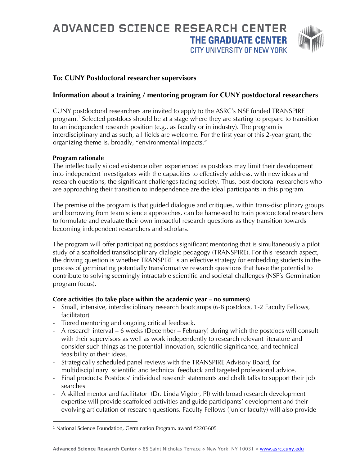# **ADVANCED SCIENCE RESEARCH CENTER THE GRADUATE CENTER CITY UNIVERSITY OF NEW YORK**



## **To: CUNY Postdoctoral researcher supervisors**

## **Information about a training / mentoring program for CUNY postdoctoral researchers**

CUNY postdoctoral researchers are invited to apply to the ASRC's NSF funded TRANSPIRE program.1 Selected postdocs should be at a stage where they are starting to prepare to transition to an independent research position (e.g., as faculty or in industry). The program is interdisciplinary and as such, all fields are welcome. For the first year of this 2-year grant, the organizing theme is, broadly, "environmental impacts."

#### **Program rationale**

The intellectually siloed existence often experienced as postdocs may limit their development into independent investigators with the capacities to effectively address, with new ideas and research questions, the significant challenges facing society. Thus, post-doctoral researchers who are approaching their transition to independence are the ideal participants in this program.

The premise of the program is that guided dialogue and critiques, within trans-disciplinary groups and borrowing from team science approaches, can be harnessed to train postdoctoral researchers to formulate and evaluate their own impactful research questions as they transition towards becoming independent researchers and scholars.

The program will offer participating postdocs significant mentoring that is simultaneously a pilot study of a scaffolded transdisciplinary dialogic pedagogy (TRANSPIRE). For this research aspect, the driving question is whether TRANSPIRE is an effective strategy for embedding students in the process of germinating potentially transformative research questions that have the potential to contribute to solving seemingly intractable scientific and societal challenges (NSF's Germination program focus).

#### **Core activities (to take place within the academic year – no summers)**

- Small, intensive, interdisciplinary research bootcamps (6-8 postdocs, 1-2 Faculty Fellows, facilitator)
- Tiered mentoring and ongoing critical feedback.
- A research interval 6 weeks (December February) during which the postdocs will consult with their supervisors as well as work independently to research relevant literature and consider such things as the potential innovation, scientific significance, and technical feasibility of their ideas.
- Strategically scheduled panel reviews with the TRANSPIRE Advisory Board, for multidisciplinary scientific and technical feedback and targeted professional advice.
- Final products: Postdocs' individual research statements and chalk talks to support their job searches
- A skilled mentor and facilitator (Dr. Linda Vigdor, PI) with broad research development expertise will provide scaffolded activities and guide participants' development and their evolving articulation of research questions. Faculty Fellows (junior faculty) will also provide

<sup>1</sup> National Science Foundation, Germination Program, award #2203605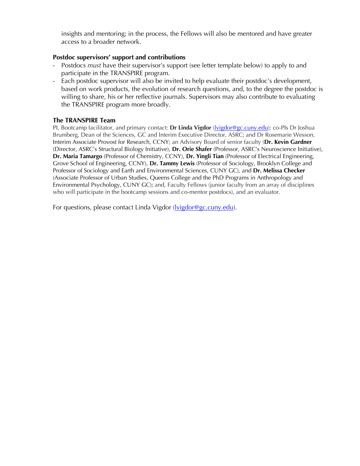insights and mentoring; in the process, the Fellows will also be mentored and have greater access to a broader network.

#### **Postdoc supervisors' support and contributions**

- Postdocs *must* have their supervisor's support (see letter template below) to apply to and participate in the TRANSPIRE program.
- Each postdoc supervisor will also be invited to help evaluate their postdoc's development, based on work products, the evolution of research questions, and, to the degree the postdoc is willing to share, his or her reflective journals. Supervisors may also contribute to evaluating the TRANSPIRE program more broadly.

### **The TRANSPIRE Team**

PI, Bootcamp facilitator, and primary contact: **Dr Linda Vigdor** (lvigdor@gc.cuny.edu); co-PIs Dr Joshua Brumberg, Dean of the Sciences, GC and Interim Executive Director, ASRC; and Dr Rosemarie Wesson, Interim Associate Provost for Research, CCNY; an Advisory Board of senior faculty (**Dr. Kevin Gardner** (Director, ASRC's Structural Biology Initiative), **Dr. Orie Shafer** (Professor, ASRC's Neuroscience Initiative), **Dr. Maria Tamargo** (Professor of Chemistry, CCNY), **Dr. Yingli Tian** (Professor of Electrical Engineering, Grove School of Engineering, CCNY), **Dr. Tammy Lewis** (Professor of Sociology, Brooklyn College and Professor of Sociology and Earth and Environmental Sciences, CUNY GC), and **Dr. Melissa Checker** (Associate Professor of Urban Studies, Queens College and the PhD Programs in Anthropology and Environmental Psychology, CUNY GC); and, Faculty Fellows (junior faculty from an array of disciplines who will participate in the bootcamp sessions and co-mentor postdocs), and an evaluator.

For questions, please contact Linda Vigdor (lvigdor@gc.cuny.edu).